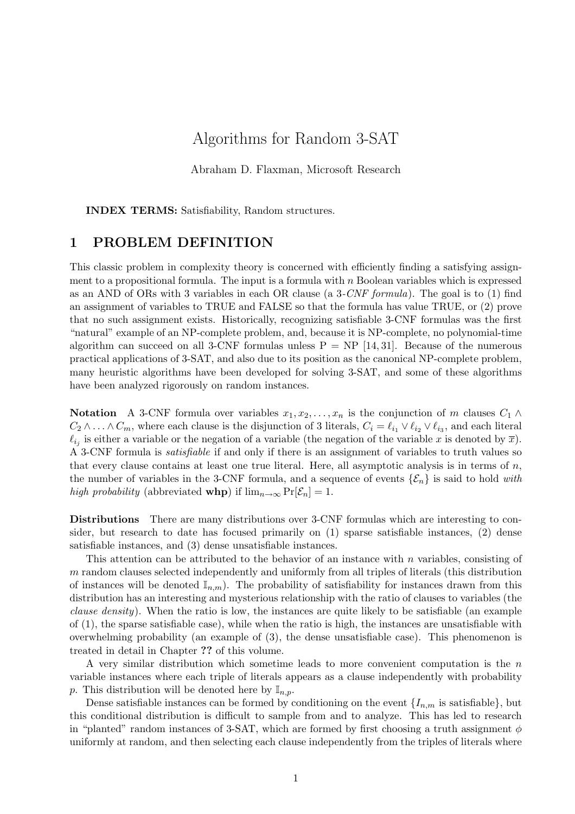# Algorithms for Random 3-SAT

Abraham D. Flaxman, Microsoft Research

INDEX TERMS: Satisfiability, Random structures.

#### 1 PROBLEM DEFINITION

This classic problem in complexity theory is concerned with efficiently finding a satisfying assignment to a propositional formula. The input is a formula with  $n$  Boolean variables which is expressed as an AND of ORs with 3 variables in each OR clause (a  $3\text{-}CNF$  formula). The goal is to (1) find an assignment of variables to TRUE and FALSE so that the formula has value TRUE, or (2) prove that no such assignment exists. Historically, recognizing satisfiable 3-CNF formulas was the first "natural" example of an NP-complete problem, and, because it is NP-complete, no polynomial-time algorithm can succeed on all 3-CNF formulas unless  $P = NP$  [14, 31]. Because of the numerous practical applications of 3-SAT, and also due to its position as the canonical NP-complete problem, many heuristic algorithms have been developed for solving 3-SAT, and some of these algorithms have been analyzed rigorously on random instances.

Notation A 3-CNF formula over variables  $x_1, x_2, \ldots, x_n$  is the conjunction of m clauses  $C_1 \wedge$  $C_2 \wedge \ldots \wedge C_m$ , where each clause is the disjunction of 3 literals,  $C_i = \ell_{i_1} \vee \ell_{i_2} \vee \ell_{i_3}$ , and each literal  $\ell_{i_j}$  is either a variable or the negation of a variable (the negation of the variable x is denoted by  $\overline{x}$ ). A 3-CNF formula is satisfiable if and only if there is an assignment of variables to truth values so that every clause contains at least one true literal. Here, all asymptotic analysis is in terms of  $n$ , the number of variables in the 3-CNF formula, and a sequence of events  $\{\mathcal{E}_n\}$  is said to hold with high probability (abbreviated whp) if  $\lim_{n\to\infty} \Pr[\mathcal{E}_n] = 1$ .

Distributions There are many distributions over 3-CNF formulas which are interesting to consider, but research to date has focused primarily on (1) sparse satisfiable instances, (2) dense satisfiable instances, and (3) dense unsatisfiable instances.

This attention can be attributed to the behavior of an instance with n variables, consisting of m random clauses selected independently and uniformly from all triples of literals (this distribution of instances will be denoted  $\mathbb{I}_{n,m}$ ). The probability of satisfiability for instances drawn from this distribution has an interesting and mysterious relationship with the ratio of clauses to variables (the clause density). When the ratio is low, the instances are quite likely to be satisfiable (an example of (1), the sparse satisfiable case), while when the ratio is high, the instances are unsatisfiable with overwhelming probability (an example of (3), the dense unsatisfiable case). This phenomenon is treated in detail in Chapter ?? of this volume.

A very similar distribution which sometime leads to more convenient computation is the  $n$ variable instances where each triple of literals appears as a clause independently with probability p. This distribution will be denoted here by  $\mathbb{I}_{n,p}$ .

Dense satisfiable instances can be formed by conditioning on the event  $\{I_{n,m}\}$  is satisfiable, but this conditional distribution is difficult to sample from and to analyze. This has led to research in "planted" random instances of 3-SAT, which are formed by first choosing a truth assignment  $\phi$ uniformly at random, and then selecting each clause independently from the triples of literals where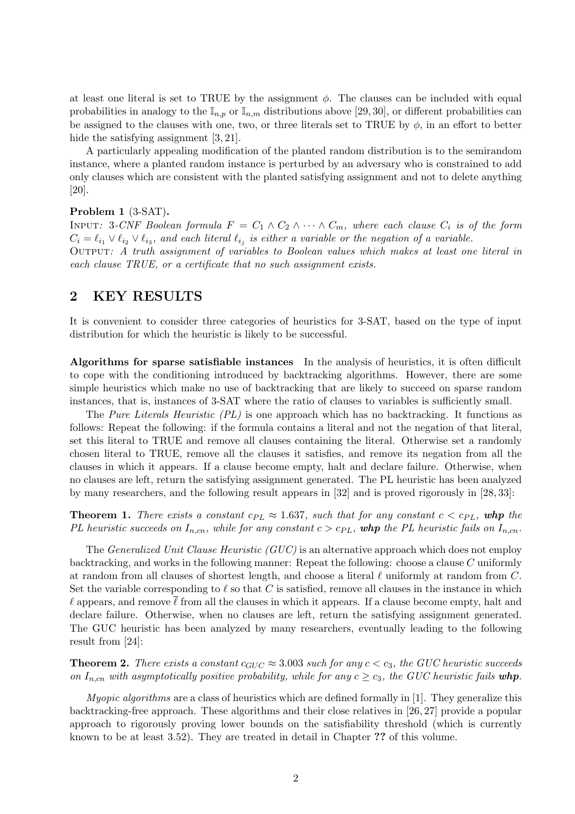at least one literal is set to TRUE by the assignment  $\phi$ . The clauses can be included with equal probabilities in analogy to the  $\mathbb{I}_{n,p}$  or  $\mathbb{I}_{n,m}$  distributions above [29, 30], or different probabilities can be assigned to the clauses with one, two, or three literals set to TRUE by  $\phi$ , in an effort to better hide the satisfying assignment [3, 21].

A particularly appealing modification of the planted random distribution is to the semirandom instance, where a planted random instance is perturbed by an adversary who is constrained to add only clauses which are consistent with the planted satisfying assignment and not to delete anything [20].

#### Problem 1 (3-SAT).

INPUT: 3-CNF Boolean formula  $F = C_1 \wedge C_2 \wedge \cdots \wedge C_m$ , where each clause  $C_i$  is of the form  $C_i = \ell_{i_1} \vee \ell_{i_2} \vee \ell_{i_3}$ , and each literal  $\ell_{i_j}$  is either a variable or the negation of a variable. OUTPUT: A truth assignment of variables to Boolean values which makes at least one literal in each clause TRUE, or a certificate that no such assignment exists.

### 2 KEY RESULTS

It is convenient to consider three categories of heuristics for 3-SAT, based on the type of input distribution for which the heuristic is likely to be successful.

Algorithms for sparse satisfiable instances In the analysis of heuristics, it is often difficult to cope with the conditioning introduced by backtracking algorithms. However, there are some simple heuristics which make no use of backtracking that are likely to succeed on sparse random instances, that is, instances of 3-SAT where the ratio of clauses to variables is sufficiently small.

The Pure Literals Heuristic (PL) is one approach which has no backtracking. It functions as follows: Repeat the following: if the formula contains a literal and not the negation of that literal, set this literal to TRUE and remove all clauses containing the literal. Otherwise set a randomly chosen literal to TRUE, remove all the clauses it satisfies, and remove its negation from all the clauses in which it appears. If a clause become empty, halt and declare failure. Otherwise, when no clauses are left, return the satisfying assignment generated. The PL heuristic has been analyzed by many researchers, and the following result appears in [32] and is proved rigorously in [28, 33]:

**Theorem 1.** There exists a constant  $c_{PL} \approx 1.637$ , such that for any constant  $c < c_{PL}$ , whp the PL heuristic succeeds on  $I_{n,m}$ , while for any constant  $c > c_{PL}$ , whp the PL heuristic fails on  $I_{n,m}$ .

The *Generalized Unit Clause Heuristic (GUC)* is an alternative approach which does not employ backtracking, and works in the following manner: Repeat the following: choose a clause C uniformly at random from all clauses of shortest length, and choose a literal  $\ell$  uniformly at random from  $C$ . Set the variable corresponding to  $\ell$  so that C is satisfied, remove all clauses in the instance in which  $\ell$  appears, and remove  $\ell$  from all the clauses in which it appears. If a clause become empty, halt and declare failure. Otherwise, when no clauses are left, return the satisfying assignment generated. The GUC heuristic has been analyzed by many researchers, eventually leading to the following result from [24]:

**Theorem 2.** There exists a constant  $c_{GUC} \approx 3.003$  such for any  $c < c_3$ , the GUC heuristic succeeds on  $I_{n,cn}$  with asymptotically positive probability, while for any  $c \geq c_3$ , the GUC heuristic fails whp.

*Myopic algorithms* are a class of heuristics which are defined formally in  $[1]$ . They generalize this backtracking-free approach. These algorithms and their close relatives in [26, 27] provide a popular approach to rigorously proving lower bounds on the satisfiability threshold (which is currently known to be at least 3.52). They are treated in detail in Chapter ?? of this volume.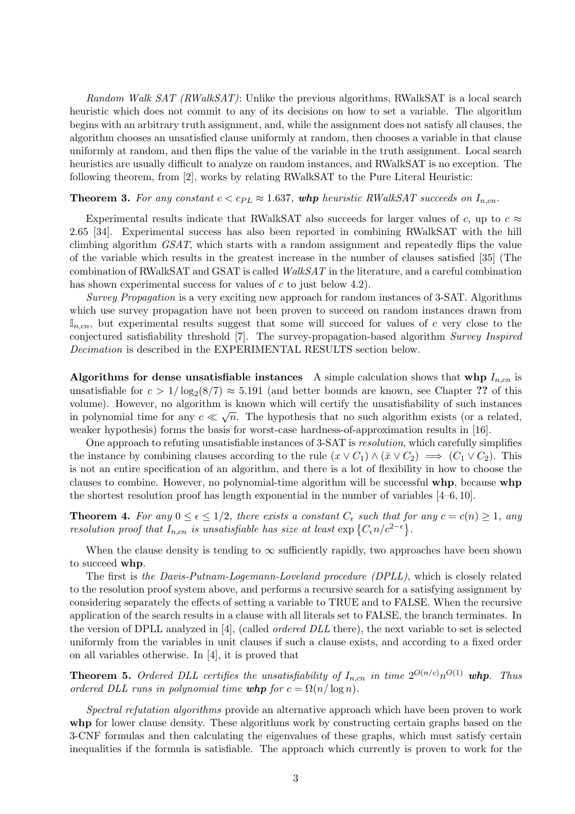Random Walk SAT (RWalkSAT): Unlike the previous algorithms, RWalkSAT is a local search heuristic which does not commit to any of its decisions on how to set a variable. The algorithm begins with an arbitrary truth assignment, and, while the assignment does not satisfy all clauses, the algorithm chooses an unsatisfied clause uniformly at random, then chooses a variable in that clause uniformly at random, and then flips the value of the variable in the truth assignment. Local search heuristics are usually difficult to analyze on random instances, and RWalkSAT is no exception. The following theorem, from [2], works by relating RWalkSAT to the Pure Literal Heuristic:

#### **Theorem 3.** For any constant  $c < c_{PL} \approx 1.637$ , whp heuristic RWalkSAT succeeds on  $I_{n,cn}$ .

Experimental results indicate that RWalkSAT also succeeds for larger values of c, up to  $c \approx$ 2.65 [34]. Experimental success has also been reported in combining RWalkSAT with the hill climbing algorithm GSAT, which starts with a random assignment and repeatedly flips the value of the variable which results in the greatest increase in the number of clauses satisfied [35] (The combination of RWalkSAT and GSAT is called WalkSAT in the literature, and a careful combination has shown experimental success for values of  $c$  to just below 4.2).

Survey Propagation is a very exciting new approach for random instances of 3-SAT. Algorithms which use survey propagation have not been proven to succeed on random instances drawn from  $\mathbb{I}_{n,cn}$ , but experimental results suggest that some will succeed for values of c very close to the conjectured satisfiability threshold [7]. The survey-propagation-based algorithm Survey Inspired Decimation is described in the EXPERIMENTAL RESULTS section below.

Algorithms for dense unsatisfiable instances A simple calculation shows that whp  $I_{n,cn}$  is unsatisfiable for  $c > 1/\log_2(8/7) \approx 5.191$  (and better bounds are known, see Chapter ?? of this volume). However, no algorithm is known which will certify the unsatisfiability of such instances in polynomial time for any  $c \ll \sqrt{n}$ . The hypothesis that no such algorithm exists (or a related, weaker hypothesis) forms the basis for worst-case hardness-of-approximation results in [16].

One approach to refuting unsatisfiable instances of 3-SAT is resolution, which carefully simplifies the instance by combining clauses according to the rule  $(x \vee C_1) \wedge (\bar{x} \vee C_2) \implies (C_1 \vee C_2)$ . This is not an entire specification of an algorithm, and there is a lot of flexibility in how to choose the clauses to combine. However, no polynomial-time algorithm will be successful whp, because whp the shortest resolution proof has length exponential in the number of variables [4–6, 10].

**Theorem 4.** For any  $0 \le \epsilon \le 1/2$ , there exists a constant  $C_{\epsilon}$  such that for any  $c = c(n) \ge 1$ , any resolution proof that  $I_{n,cn}$  is unsatisfiable has size at least  $\exp\left\{C_{\epsilon n}/c^{2-\epsilon}\right\}$ .

When the clause density is tending to  $\infty$  sufficiently rapidly, two approaches have been shown to succeed whp.

The first is the Davis-Putnam-Logemann-Loveland procedure (DPLL), which is closely related to the resolution proof system above, and performs a recursive search for a satisfying assignment by considering separately the effects of setting a variable to TRUE and to FALSE. When the recursive application of the search results in a clause with all literals set to FALSE, the branch terminates. In the version of DPLL analyzed in [4], (called ordered DLL there), the next variable to set is selected uniformly from the variables in unit clauses if such a clause exists, and according to a fixed order on all variables otherwise. In [4], it is proved that

**Theorem 5.** Ordered DLL certifies the unsatisfiability of  $I_{n,cn}$  in time  $2^{O(n/c)}n^{O(1)}$  whp. Thus ordered DLL runs in polynomial time whp for  $c = \Omega(n/\log n)$ .

Spectral refutation algorithms provide an alternative approach which have been proven to work whp for lower clause density. These algorithms work by constructing certain graphs based on the 3-CNF formulas and then calculating the eigenvalues of these graphs, which must satisfy certain inequalities if the formula is satisfiable. The approach which currently is proven to work for the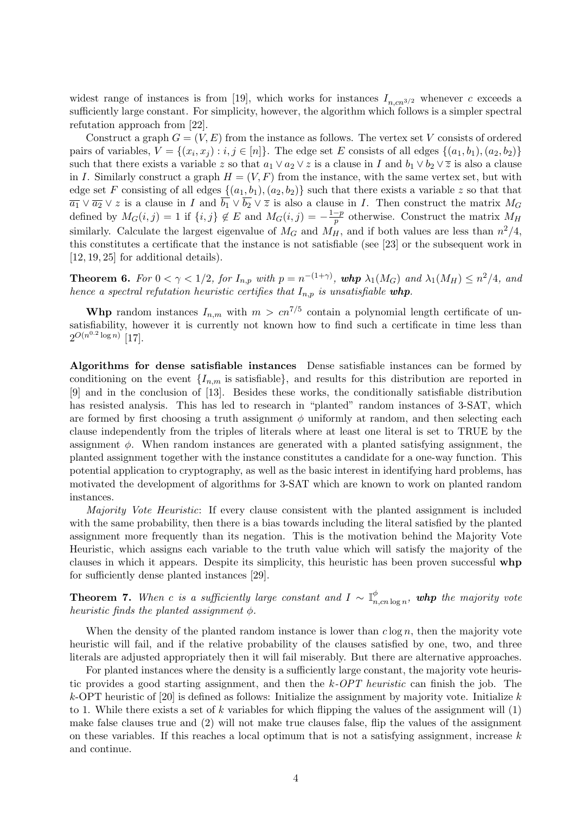widest range of instances is from [19], which works for instances  $I_{n,cn^{3/2}}$  whenever c exceeds a sufficiently large constant. For simplicity, however, the algorithm which follows is a simpler spectral refutation approach from [22].

Construct a graph  $G = (V, E)$  from the instance as follows. The vertex set V consists of ordered pairs of variables,  $V = \{(x_i, x_j) : i, j \in [n]\}$ . The edge set E consists of all edges  $\{(a_1, b_1), (a_2, b_2)\}$ such that there exists a variable z so that  $a_1 \vee a_2 \vee z$  is a clause in I and  $b_1 \vee b_2 \vee \overline{z}$  is also a clause in I. Similarly construct a graph  $H = (V, F)$  from the instance, with the same vertex set, but with edge set F consisting of all edges  $\{(a_1, b_1), (a_2, b_2)\}$  such that there exists a variable z so that that  $\overline{a_1} \vee \overline{a_2} \vee z$  is a clause in I and  $\overline{b_1} \vee \overline{b_2} \vee \overline{z}$  is also a clause in I. Then construct the matrix  $M_G$ defined by  $M_G(i, j) = 1$  if  $\{i, j\} \notin E$  and  $M_G(i, j) = -\frac{1-p}{p}$  $\frac{-p}{p}$  otherwise. Construct the matrix  $M_H$ similarly. Calculate the largest eigenvalue of  $M_G$  and  $M_H$ , and if both values are less than  $n^2/4$ , this constitutes a certificate that the instance is not satisfiable (see [23] or the subsequent work in [12, 19, 25] for additional details).

**Theorem 6.** For  $0 < \gamma < 1/2$ , for  $I_{n,p}$  with  $p = n^{-(1+\gamma)}$ , whp  $\lambda_1(M_G)$  and  $\lambda_1(M_H) \leq n^2/4$ , and hence a spectral refutation heuristic certifies that  $I_{n,p}$  is unsatisfiable whp.

**Whp** random instances  $I_{n,m}$  with  $m > cn^{7/5}$  contain a polynomial length certificate of unsatisfiability, however it is currently not known how to find such a certificate in time less than  $2^{O(n^{0.2} \log n)}$  [17].

Algorithms for dense satisfiable instances Dense satisfiable instances can be formed by conditioning on the event  $\{I_{n,m}\}$  is satisfiable, and results for this distribution are reported in [9] and in the conclusion of [13]. Besides these works, the conditionally satisfiable distribution has resisted analysis. This has led to research in "planted" random instances of 3-SAT, which are formed by first choosing a truth assignment  $\phi$  uniformly at random, and then selecting each clause independently from the triples of literals where at least one literal is set to TRUE by the assignment  $\phi$ . When random instances are generated with a planted satisfying assignment, the planted assignment together with the instance constitutes a candidate for a one-way function. This potential application to cryptography, as well as the basic interest in identifying hard problems, has motivated the development of algorithms for 3-SAT which are known to work on planted random instances.

Majority Vote Heuristic: If every clause consistent with the planted assignment is included with the same probability, then there is a bias towards including the literal satisfied by the planted assignment more frequently than its negation. This is the motivation behind the Majority Vote Heuristic, which assigns each variable to the truth value which will satisfy the majority of the clauses in which it appears. Despite its simplicity, this heuristic has been proven successful whp for sufficiently dense planted instances [29].

**Theorem 7.** When c is a sufficiently large constant and  $I \sim \mathbb{I}_n^{\phi}$  $_{n,cn\log n}^\phi, \textit{ whp }$  the majority vote heuristic finds the planted assignment  $\phi$ .

When the density of the planted random instance is lower than  $c \log n$ , then the majority vote heuristic will fail, and if the relative probability of the clauses satisfied by one, two, and three literals are adjusted appropriately then it will fail miserably. But there are alternative approaches.

For planted instances where the density is a sufficiently large constant, the majority vote heuristic provides a good starting assignment, and then the k-OPT heuristic can finish the job. The k-OPT heuristic of [20] is defined as follows: Initialize the assignment by majority vote. Initialize  $k$ to 1. While there exists a set of k variables for which flipping the values of the assignment will  $(1)$ make false clauses true and (2) will not make true clauses false, flip the values of the assignment on these variables. If this reaches a local optimum that is not a satisfying assignment, increase  $k$ and continue.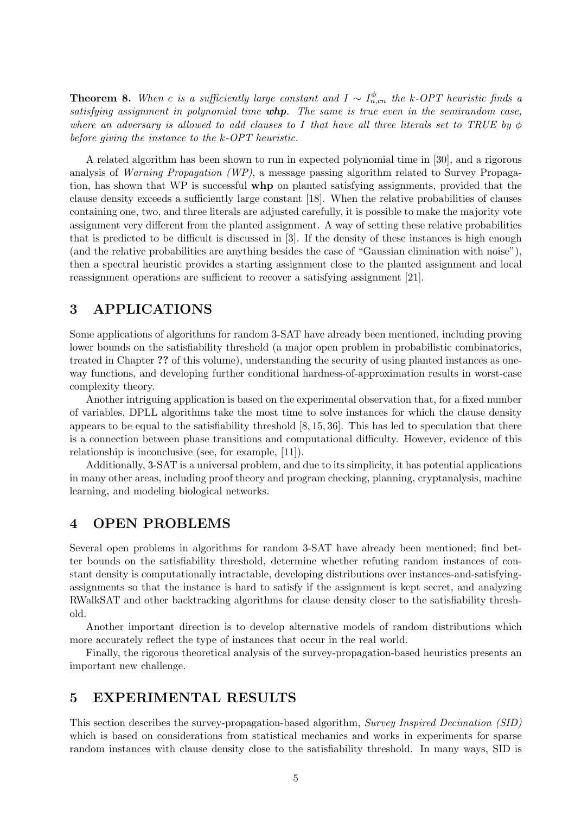**Theorem 8.** When c is a sufficiently large constant and  $I \sim I_{n,cn}^{\phi}$  the k-OPT heuristic finds a satisfying assignment in polynomial time  $whp$ . The same is true even in the semirandom case, where an adversary is allowed to add clauses to I that have all three literals set to TRUE by  $\phi$ before giving the instance to the k-OPT heuristic.

A related algorithm has been shown to run in expected polynomial time in [30], and a rigorous analysis of Warning Propagation (WP), a message passing algorithm related to Survey Propagation, has shown that WP is successful whp on planted satisfying assignments, provided that the clause density exceeds a sufficiently large constant [18]. When the relative probabilities of clauses containing one, two, and three literals are adjusted carefully, it is possible to make the majority vote assignment very different from the planted assignment. A way of setting these relative probabilities that is predicted to be difficult is discussed in [3]. If the density of these instances is high enough (and the relative probabilities are anything besides the case of "Gaussian elimination with noise"), then a spectral heuristic provides a starting assignment close to the planted assignment and local reassignment operations are sufficient to recover a satisfying assignment [21].

# 3 APPLICATIONS

Some applications of algorithms for random 3-SAT have already been mentioned, including proving lower bounds on the satisfiability threshold (a major open problem in probabilistic combinatorics, treated in Chapter ?? of this volume), understanding the security of using planted instances as oneway functions, and developing further conditional hardness-of-approximation results in worst-case complexity theory.

Another intriguing application is based on the experimental observation that, for a fixed number of variables, DPLL algorithms take the most time to solve instances for which the clause density appears to be equal to the satisfiability threshold [8, 15, 36]. This has led to speculation that there is a connection between phase transitions and computational difficulty. However, evidence of this relationship is inconclusive (see, for example, [11]).

Additionally, 3-SAT is a universal problem, and due to its simplicity, it has potential applications in many other areas, including proof theory and program checking, planning, cryptanalysis, machine learning, and modeling biological networks.

# 4 OPEN PROBLEMS

Several open problems in algorithms for random 3-SAT have already been mentioned; find better bounds on the satisfiability threshold, determine whether refuting random instances of constant density is computationally intractable, developing distributions over instances-and-satisfyingassignments so that the instance is hard to satisfy if the assignment is kept secret, and analyzing RWalkSAT and other backtracking algorithms for clause density closer to the satisfiability threshold.

Another important direction is to develop alternative models of random distributions which more accurately reflect the type of instances that occur in the real world.

Finally, the rigorous theoretical analysis of the survey-propagation-based heuristics presents an important new challenge.

## 5 EXPERIMENTAL RESULTS

This section describes the survey-propagation-based algorithm, Survey Inspired Decimation (SID) which is based on considerations from statistical mechanics and works in experiments for sparse random instances with clause density close to the satisfiability threshold. In many ways, SID is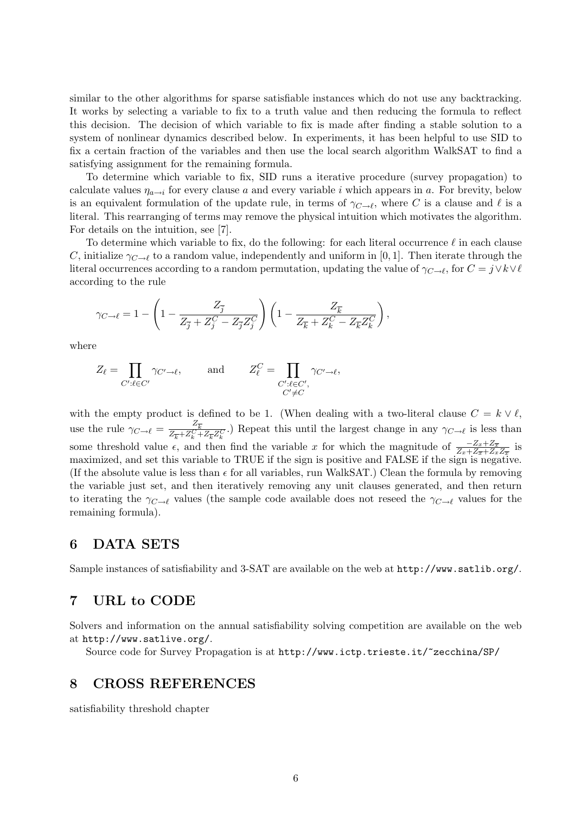similar to the other algorithms for sparse satisfiable instances which do not use any backtracking. It works by selecting a variable to fix to a truth value and then reducing the formula to reflect this decision. The decision of which variable to fix is made after finding a stable solution to a system of nonlinear dynamics described below. In experiments, it has been helpful to use SID to fix a certain fraction of the variables and then use the local search algorithm WalkSAT to find a satisfying assignment for the remaining formula.

To determine which variable to fix, SID runs a iterative procedure (survey propagation) to calculate values  $\eta_{a\to i}$  for every clause a and every variable i which appears in a. For brevity, below is an equivalent formulation of the update rule, in terms of  $\gamma_{C\to\ell}$ , where C is a clause and  $\ell$  is a literal. This rearranging of terms may remove the physical intuition which motivates the algorithm. For details on the intuition, see [7].

To determine which variable to fix, do the following: for each literal occurrence  $\ell$  in each clause C, initialize  $\gamma_{C\rightarrow \ell}$  to a random value, independently and uniform in [0, 1]. Then iterate through the literal occurrences according to a random permutation, updating the value of  $\gamma_{C \to \ell}$ , for  $C = j \vee k \vee \ell$ according to the rule

$$
\gamma_{C \to \ell} = 1 - \left(1 - \frac{Z_{\overline{j}}}{Z_{\overline{j}} + Z_j^C - Z_{\overline{j}} Z_j^C}\right) \left(1 - \frac{Z_{\overline{k}}}{Z_{\overline{k}} + Z_k^C - Z_{\overline{k}} Z_k^C}\right),
$$

where

$$
Z_{\ell} = \prod_{C': \ell \in C'} \gamma_{C' \to \ell}, \quad \text{and} \quad Z_{\ell}^C = \prod_{\substack{C': \ell \in C', \\ C' \neq C}} \gamma_{C' \to \ell},
$$

with the empty product is defined to be 1. (When dealing with a two-literal clause  $C = k \vee \ell$ , use the rule  $\gamma_{C \to \ell} = \frac{Z_{\overline{k}}}{Z_{\ell} + Z_{\ell}}$  $\frac{Z_k}{Z_{\overline{k}}+Z_k^C+Z_{\overline{k}}Z_k^C}$ .) Repeat this until the largest change in any  $\gamma_{C\to \ell}$  is less than some threshold value  $\epsilon$ , and then find the variable x for which the magnitude of  $\frac{-Z_x+Z_{\overline{x}}}{Z_x+Z_x+Z_x+Z_x}$  is maximized, and set this variable to TRUE if the sign is positive and FALSE if the sign is negative. (If the absolute value is less than  $\epsilon$  for all variables, run WalkSAT.) Clean the formula by removing the variable just set, and then iteratively removing any unit clauses generated, and then return to iterating the  $\gamma_{C\to\ell}$  values (the sample code available does not reseed the  $\gamma_{C\to\ell}$  values for the remaining formula).

# 6 DATA SETS

Sample instances of satisfiability and 3-SAT are available on the web at http://www.satlib.org/.

#### 7 URL to CODE

Solvers and information on the annual satisfiability solving competition are available on the web at http://www.satlive.org/.

Source code for Survey Propagation is at http://www.ictp.trieste.it/~zecchina/SP/

### 8 CROSS REFERENCES

satisfiability threshold chapter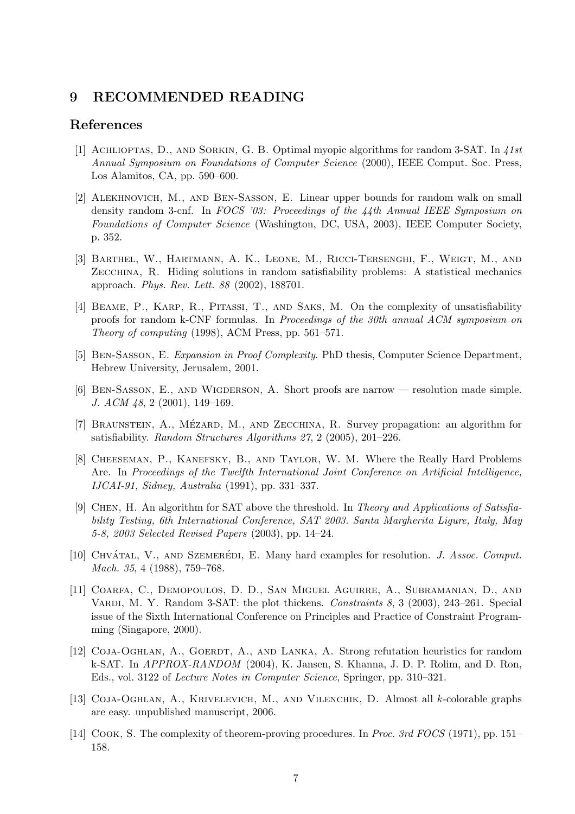# 9 RECOMMENDED READING

#### References

- [1] Achlioptas, D., and Sorkin, G. B. Optimal myopic algorithms for random 3-SAT. In 41st Annual Symposium on Foundations of Computer Science (2000), IEEE Comput. Soc. Press, Los Alamitos, CA, pp. 590–600.
- [2] Alekhnovich, M., and Ben-Sasson, E. Linear upper bounds for random walk on small density random 3-cnf. In FOCS '03: Proceedings of the 44th Annual IEEE Symposium on Foundations of Computer Science (Washington, DC, USA, 2003), IEEE Computer Society, p. 352.
- [3] Barthel, W., Hartmann, A. K., Leone, M., Ricci-Tersenghi, F., Weigt, M., and Zecchina, R. Hiding solutions in random satisfiability problems: A statistical mechanics approach. Phys. Rev. Lett. 88 (2002), 188701.
- [4] Beame, P., Karp, R., Pitassi, T., and Saks, M. On the complexity of unsatisfiability proofs for random k-CNF formulas. In Proceedings of the 30th annual ACM symposium on Theory of computing (1998), ACM Press, pp. 561–571.
- [5] Ben-Sasson, E. Expansion in Proof Complexity. PhD thesis, Computer Science Department, Hebrew University, Jerusalem, 2001.
- [6] Ben-Sasson, E., and Wigderson, A. Short proofs are narrow resolution made simple. J. ACM 48, 2 (2001), 149–169.
- [7] BRAUNSTEIN, A., MÉZARD, M., AND ZECCHINA, R. Survey propagation: an algorithm for satisfiability. Random Structures Algorithms 27, 2 (2005), 201–226.
- [8] CHEESEMAN, P., KANEFSKY, B., AND TAYLOR, W. M. Where the Really Hard Problems Are. In Proceedings of the Twelfth International Joint Conference on Artificial Intelligence, IJCAI-91, Sidney, Australia (1991), pp. 331–337.
- [9] Chen, H. An algorithm for SAT above the threshold. In Theory and Applications of Satisfiability Testing, 6th International Conference, SAT 2003. Santa Margherita Ligure, Italy, May 5-8, 2003 Selected Revised Papers (2003), pp. 14–24.
- [10] CHVÁTAL, V., AND SZEMERÉDI, E. Many hard examples for resolution. J. Assoc. Comput. Mach. 35, 4 (1988), 759–768.
- [11] Coarfa, C., Demopoulos, D. D., San Miguel Aguirre, A., Subramanian, D., and VARDI, M. Y. Random 3-SAT: the plot thickens. Constraints  $8, 3$  (2003), 243–261. Special issue of the Sixth International Conference on Principles and Practice of Constraint Programming (Singapore, 2000).
- [12] COJA-OGHLAN, A., GOERDT, A., AND LANKA, A. Strong refutation heuristics for random k-SAT. In APPROX-RANDOM (2004), K. Jansen, S. Khanna, J. D. P. Rolim, and D. Ron, Eds., vol. 3122 of Lecture Notes in Computer Science, Springer, pp. 310–321.
- [13] Coja-Oghlan, A., Krivelevich, M., and Vilenchik, D. Almost all k-colorable graphs are easy. unpublished manuscript, 2006.
- [14] COOK, S. The complexity of theorem-proving procedures. In Proc. 3rd FOCS (1971), pp. 151– 158.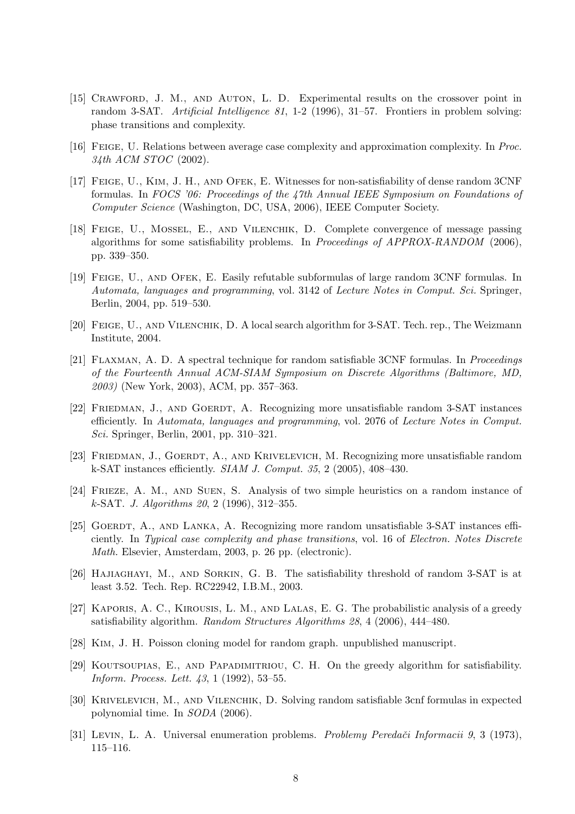- [15] Crawford, J. M., and Auton, L. D. Experimental results on the crossover point in random 3-SAT. Artificial Intelligence 81, 1-2 (1996), 31–57. Frontiers in problem solving: phase transitions and complexity.
- [16] Feige, U. Relations between average case complexity and approximation complexity. In Proc. 34th ACM STOC (2002).
- [17] Feige, U., Kim, J. H., and Ofek, E. Witnesses for non-satisfiability of dense random 3CNF formulas. In FOCS '06: Proceedings of the 47th Annual IEEE Symposium on Foundations of Computer Science (Washington, DC, USA, 2006), IEEE Computer Society.
- [18] Feige, U., Mossel, E., and Vilenchik, D. Complete convergence of message passing algorithms for some satisfiability problems. In Proceedings of APPROX-RANDOM (2006), pp. 339–350.
- [19] Feige, U., and Ofek, E. Easily refutable subformulas of large random 3CNF formulas. In Automata, languages and programming, vol. 3142 of Lecture Notes in Comput. Sci. Springer, Berlin, 2004, pp. 519–530.
- [20] Feige, U., and Vilenchik, D. A local search algorithm for 3-SAT. Tech. rep., The Weizmann Institute, 2004.
- [21] Flaxman, A. D. A spectral technique for random satisfiable 3CNF formulas. In Proceedings of the Fourteenth Annual ACM-SIAM Symposium on Discrete Algorithms (Baltimore, MD, 2003) (New York, 2003), ACM, pp. 357–363.
- [22] FRIEDMAN, J., AND GOERDT, A. Recognizing more unsatisfiable random 3-SAT instances efficiently. In Automata, languages and programming, vol. 2076 of Lecture Notes in Comput. Sci. Springer, Berlin, 2001, pp. 310–321.
- [23] FRIEDMAN, J., GOERDT, A., AND KRIVELEVICH, M. Recognizing more unsatisfiable random k-SAT instances efficiently. SIAM J. Comput. 35, 2 (2005), 408–430.
- [24] Frieze, A. M., and Suen, S. Analysis of two simple heuristics on a random instance of k-SAT. J. Algorithms 20, 2 (1996), 312–355.
- [25] GOERDT, A., AND LANKA, A. Recognizing more random unsatisfiable 3-SAT instances efficiently. In Typical case complexity and phase transitions, vol. 16 of Electron. Notes Discrete Math. Elsevier, Amsterdam, 2003, p. 26 pp. (electronic).
- [26] Hajiaghayi, M., and Sorkin, G. B. The satisfiability threshold of random 3-SAT is at least 3.52. Tech. Rep. RC22942, I.B.M., 2003.
- [27] Kaporis, A. C., Kirousis, L. M., and Lalas, E. G. The probabilistic analysis of a greedy satisfiability algorithm. Random Structures Algorithms 28, 4 (2006), 444–480.
- [28] Kim, J. H. Poisson cloning model for random graph. unpublished manuscript.
- [29] Koutsoupias, E., and Papadimitriou, C. H. On the greedy algorithm for satisfiability. Inform. Process. Lett. 43, 1 (1992), 53–55.
- [30] Krivelevich, M., and Vilenchik, D. Solving random satisfiable 3cnf formulas in expected polynomial time. In SODA (2006).
- [31] Levin, L. A. Universal enumeration problems. Problemy Peredači Informacii 9, 3 (1973), 115–116.